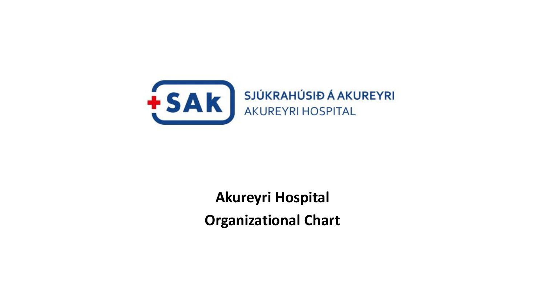

**Akureyri Hospital Organizational Chart**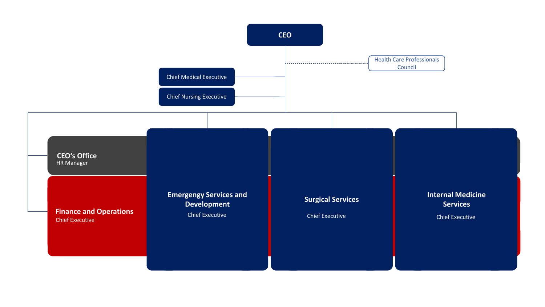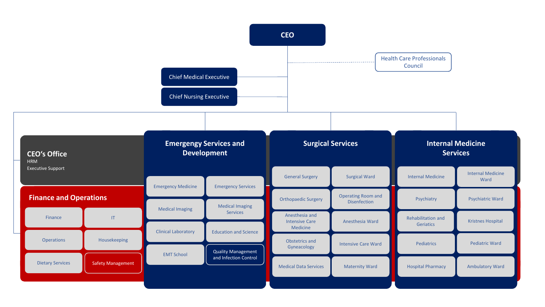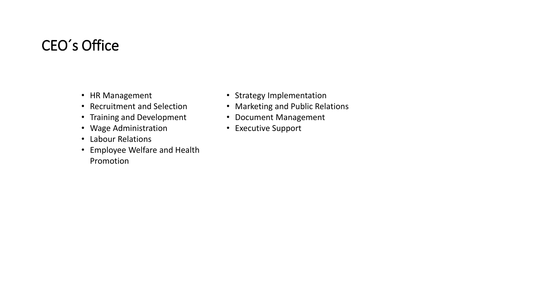## CEO´ s Office

- HR Management
- Recruitment and Selection
- Training and Development
- Wage Administration
- Labour Relations
- Employee Welfare and Health Promotion
- Strategy Implementation
- Marketing and Public Relations
- Document Management
- Executive Support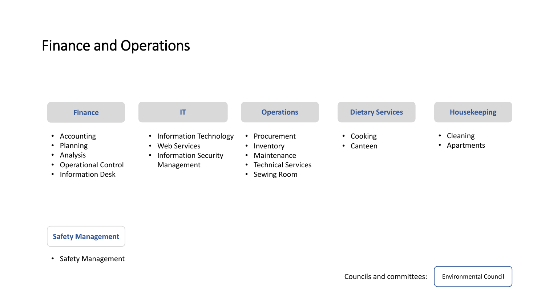#### Finance and Operations



#### **Safety Management**

• Safety Management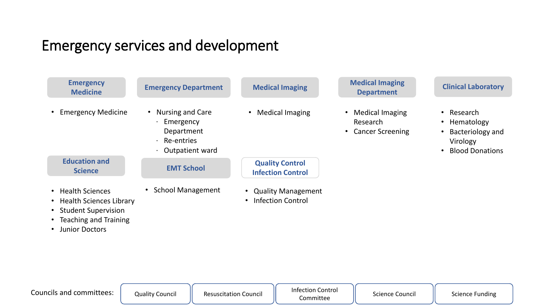## Emergency services and development

| <b>Emergency</b><br><b>Medicine</b>                                                                                         | <b>Emergency Department</b>                                                    | <b>Medical Imaging</b>                             | <b>Medical Imaging</b><br><b>Department</b>              | <b>Clinical Laboratory</b>                                                                                              |
|-----------------------------------------------------------------------------------------------------------------------------|--------------------------------------------------------------------------------|----------------------------------------------------|----------------------------------------------------------|-------------------------------------------------------------------------------------------------------------------------|
| • Emergency Medicine                                                                                                        | • Nursing and Care<br>Emergency<br>Department<br>Re-entries<br>Outpatient ward | <b>Medical Imaging</b><br>$\bullet$                | <b>Medical Imaging</b><br>Research<br>• Cancer Screening | Research<br>$\bullet$<br>Hematology<br>$\bullet$<br>Bacteriology and<br>$\bullet$<br>Virology<br><b>Blood Donations</b> |
| <b>Education and</b><br><b>Science</b>                                                                                      | <b>EMT School</b>                                                              | <b>Quality Control</b><br><b>Infection Control</b> |                                                          |                                                                                                                         |
| • Health Sciences<br>• Health Sciences Library<br>• Student Supervision<br>• Teaching and Training<br><b>Junior Doctors</b> | <b>School Management</b>                                                       | • Quality Management<br><b>Infection Control</b>   |                                                          |                                                                                                                         |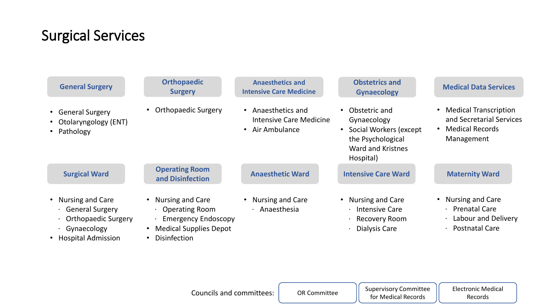# Surgical Services

| <b>General Surgery</b>                                                                                                 | <b>Orthopaedic</b><br><b>Surgery</b>                                                                                            | <b>Anaesthetics and</b><br><b>Intensive Care Medicine</b>                                     | <b>Obstetrics and</b><br><b>Gynaecology</b>                                                                                         | <b>Medical Data Services</b>                                                                     |
|------------------------------------------------------------------------------------------------------------------------|---------------------------------------------------------------------------------------------------------------------------------|-----------------------------------------------------------------------------------------------|-------------------------------------------------------------------------------------------------------------------------------------|--------------------------------------------------------------------------------------------------|
| • General Surgery<br>• Otolaryngology (ENT)<br>• Pathology                                                             | <b>Orthopaedic Surgery</b>                                                                                                      | Anaesthetics and<br>$\bullet$<br><b>Intensive Care Medicine</b><br>Air Ambulance<br>$\bullet$ | Obstetric and<br>$\bullet$<br>Gynaecology<br>• Social Workers (except<br>the Psychological<br><b>Ward and Kristnes</b><br>Hospital) | <b>Medical Transcription</b><br>and Secretarial Services<br><b>Medical Records</b><br>Management |
| <b>Surgical Ward</b>                                                                                                   | <b>Operating Room</b><br>and Disinfection                                                                                       | <b>Anaesthetic Ward</b>                                                                       | <b>Intensive Care Ward</b>                                                                                                          | <b>Maternity Ward</b>                                                                            |
| <b>Nursing and Care</b><br><b>General Surgery</b><br><b>Orthopaedic Surgery</b><br>Gynaecology<br>• Hospital Admission | <b>Nursing and Care</b><br><b>Operating Room</b><br><b>Emergency Endoscopy</b><br><b>Medical Supplies Depot</b><br>Disinfection | Nursing and Care<br>$\cdot$ Anaesthesia                                                       | <b>Nursing and Care</b><br>· Intensive Care<br>Recovery Room<br>Dialysis Care                                                       | Nursing and Care<br>· Prenatal Care<br>. Labour and Delivery<br>· Postnatal Care                 |

OR Committee **Supervisory Committee** for Medical Records

Electronic Medical Records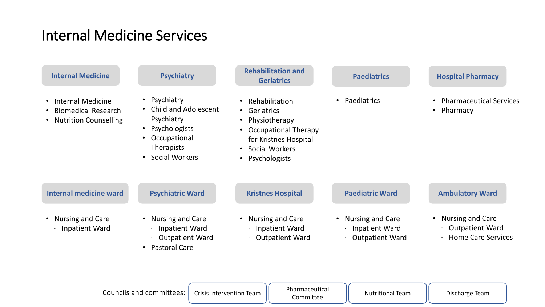# Internal Medicine Services

| <b>Internal Medicine</b>                                                                                                      | <b>Psychiatry</b>                                                                                                                                                                            | <b>Rehabilitation and</b><br><b>Geriatrics</b>                                                                                                                                                                                | <b>Paediatrics</b>                                                  | <b>Hospital Pharmacy</b>                                                                    |
|-------------------------------------------------------------------------------------------------------------------------------|----------------------------------------------------------------------------------------------------------------------------------------------------------------------------------------------|-------------------------------------------------------------------------------------------------------------------------------------------------------------------------------------------------------------------------------|---------------------------------------------------------------------|---------------------------------------------------------------------------------------------|
| <b>Internal Medicine</b><br>$\bullet$<br><b>Biomedical Research</b><br>$\bullet$<br><b>Nutrition Counselling</b><br>$\bullet$ | • Psychiatry<br><b>Child and Adolescent</b><br>$\bullet$<br>Psychiatry<br>Psychologists<br>$\bullet$<br>Occupational<br>$\bullet$<br><b>Therapists</b><br><b>Social Workers</b><br>$\bullet$ | Rehabilitation<br>$\bullet$<br>Geriatrics<br>$\bullet$<br>Physiotherapy<br>$\bullet$<br><b>Occupational Therapy</b><br>$\bullet$<br>for Kristnes Hospital<br><b>Social Workers</b><br>$\bullet$<br>Psychologists<br>$\bullet$ | Paediatrics                                                         | <b>Pharmaceutical Services</b><br>$\bullet$<br>Pharmacy<br>$\bullet$                        |
| <b>Internal medicine ward</b>                                                                                                 | <b>Psychiatric Ward</b>                                                                                                                                                                      | <b>Kristnes Hospital</b>                                                                                                                                                                                                      | <b>Paediatric Ward</b>                                              | <b>Ambulatory Ward</b>                                                                      |
| <b>Nursing and Care</b><br>$\bullet$<br>Inpatient Ward                                                                        | <b>Nursing and Care</b><br>$\bullet$<br>Inpatient Ward<br><b>Outpatient Ward</b><br><b>Pastoral Care</b><br>$\bullet$                                                                        | <b>Nursing and Care</b><br>$\bullet$<br><b>Inpatient Ward</b><br><b>Outpatient Ward</b>                                                                                                                                       | <b>Nursing and Care</b><br>Inpatient Ward<br><b>Outpatient Ward</b> | <b>Nursing and Care</b><br>$\bullet$<br><b>Outpatient Ward</b><br><b>Home Care Services</b> |
|                                                                                                                               | <b>Councils and committees:</b><br><b>Crisis Intervention Team</b>                                                                                                                           | Pharmaceutical<br>Committee                                                                                                                                                                                                   | <b>Nutritional Team</b>                                             | Discharge Team                                                                              |